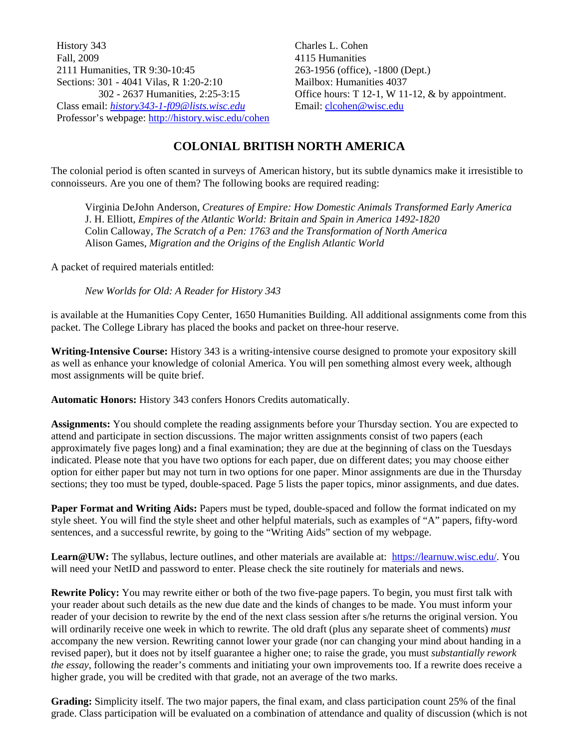History 343 Fall, 2009 2111 Humanities, TR 9:30-10:45 Sections: 301 - 4041 Vilas, R 1:20-2:10 302 - 2637 Humanities, 2:25-3:15 Class email: *history343-1-f09@lists.wisc.edu* Professor's webpage: http://history.wisc.edu/cohen Charles L. Cohen 4115 Humanities 263-1956 (office), -1800 (Dept.) Mailbox: Humanities 4037 Office hours: T 12-1, W 11-12, & by appointment. Email: clcohen@wisc.edu

### **COLONIAL BRITISH NORTH AMERICA**

The colonial period is often scanted in surveys of American history, but its subtle dynamics make it irresistible to connoisseurs. Are you one of them? The following books are required reading:

Virginia DeJohn Anderson, *Creatures of Empire: How Domestic Animals Transformed Early America* J. H. Elliott, *Empires of the Atlantic World: Britain and Spain in America 1492-1820* Colin Calloway, *The Scratch of a Pen: 1763 and the Transformation of North America* Alison Games, *Migration and the Origins of the English Atlantic World*

A packet of required materials entitled:

*New Worlds for Old: A Reader for History 343*

is available at the Humanities Copy Center, 1650 Humanities Building. All additional assignments come from this packet. The College Library has placed the books and packet on three-hour reserve.

**Writing-Intensive Course:** History 343 is a writing-intensive course designed to promote your expository skill as well as enhance your knowledge of colonial America. You will pen something almost every week, although most assignments will be quite brief.

**Automatic Honors:** History 343 confers Honors Credits automatically.

**Assignments:** You should complete the reading assignments before your Thursday section. You are expected to attend and participate in section discussions. The major written assignments consist of two papers (each approximately five pages long) and a final examination; they are due at the beginning of class on the Tuesdays indicated. Please note that you have two options for each paper, due on different dates; you may choose either option for either paper but may not turn in two options for one paper. Minor assignments are due in the Thursday sections; they too must be typed, double-spaced. Page 5 lists the paper topics, minor assignments, and due dates.

**Paper Format and Writing Aids:** Papers must be typed, double-spaced and follow the format indicated on my style sheet. You will find the style sheet and other helpful materials, such as examples of "A" papers, fifty-word sentences, and a successful rewrite, by going to the "Writing Aids" section of my webpage.

**Learn@UW:** The syllabus, lecture outlines, and other materials are available at: https://learnuw.wisc.edu/. You will need your NetID and password to enter. Please check the site routinely for materials and news.

**Rewrite Policy:** You may rewrite either or both of the two five-page papers. To begin, you must first talk with your reader about such details as the new due date and the kinds of changes to be made. You must inform your reader of your decision to rewrite by the end of the next class session after s/he returns the original version. You will ordinarily receive one week in which to rewrite. The old draft (plus any separate sheet of comments) *must* accompany the new version. Rewriting cannot lower your grade (nor can changing your mind about handing in a revised paper), but it does not by itself guarantee a higher one; to raise the grade, you must *substantially rework the essay*, following the reader's comments and initiating your own improvements too. If a rewrite does receive a higher grade, you will be credited with that grade, not an average of the two marks.

**Grading:** Simplicity itself. The two major papers, the final exam, and class participation count 25% of the final grade. Class participation will be evaluated on a combination of attendance and quality of discussion (which is not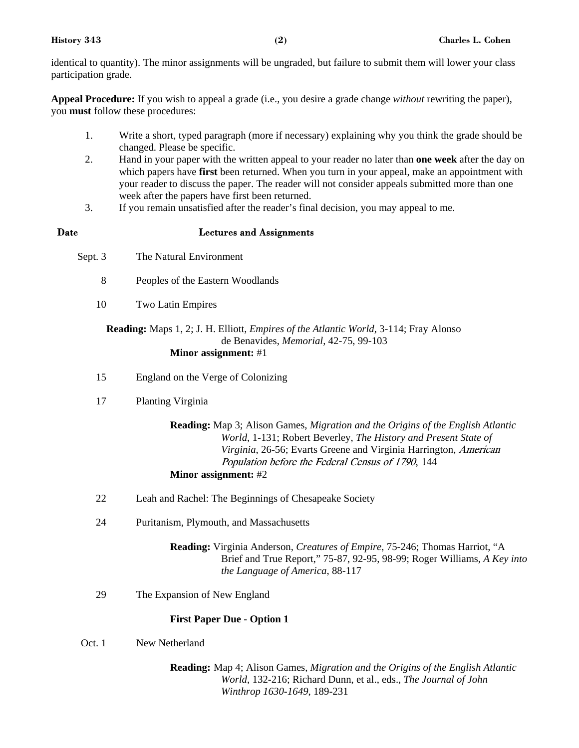identical to quantity). The minor assignments will be ungraded, but failure to submit them will lower your class participation grade.

**Appeal Procedure:** If you wish to appeal a grade (i.e., you desire a grade change *without* rewriting the paper), you **must** follow these procedures:

- 1. Write a short, typed paragraph (more if necessary) explaining why you think the grade should be changed. Please be specific.
- 2. Hand in your paper with the written appeal to your reader no later than **one week** after the day on which papers have **first** been returned. When you turn in your appeal, make an appointment with your reader to discuss the paper. The reader will not consider appeals submitted more than one week after the papers have first been returned.
- 3. If you remain unsatisfied after the reader's final decision, you may appeal to me.
- 

#### **Date Lectures and Assignments**

- Sept. 3 The Natural Environment
	- 8 Peoples of the Eastern Woodlands
	- 10 Two Latin Empires

#### **Reading:** Maps 1, 2; J. H. Elliott, *Empires of the Atlantic World*, 3-114; Fray Alonso de Benavides, *Memorial*, 42-75, 99-103 **Minor assignment:** #1

- 15 England on the Verge of Colonizing
- 17 Planting Virginia

**Reading:** Map 3; Alison Games, *Migration and the Origins of the English Atlantic World*, 1-131; Robert Beverley, *The History and Present State of Virginia*, 26-56; Evarts Greene and Virginia Harrington, American Population before the Federal Census of 1790, 144 **Minor assignment:** #2

- 22 Leah and Rachel: The Beginnings of Chesapeake Society
- 24 Puritanism, Plymouth, and Massachusetts

**Reading:** Virginia Anderson, *Creatures of Empire*, 75-246; Thomas Harriot, "A Brief and True Report," 75-87, 92-95, 98-99; Roger Williams, *A Key into the Language of America*, 88-117

29 The Expansion of New England

#### **First Paper Due - Option 1**

Oct. 1 New Netherland

**Reading:** Map 4; Alison Games, *Migration and the Origins of the English Atlantic World*, 132-216; Richard Dunn, et al., eds., *The Journal of John Winthrop 1630-1649*, 189-231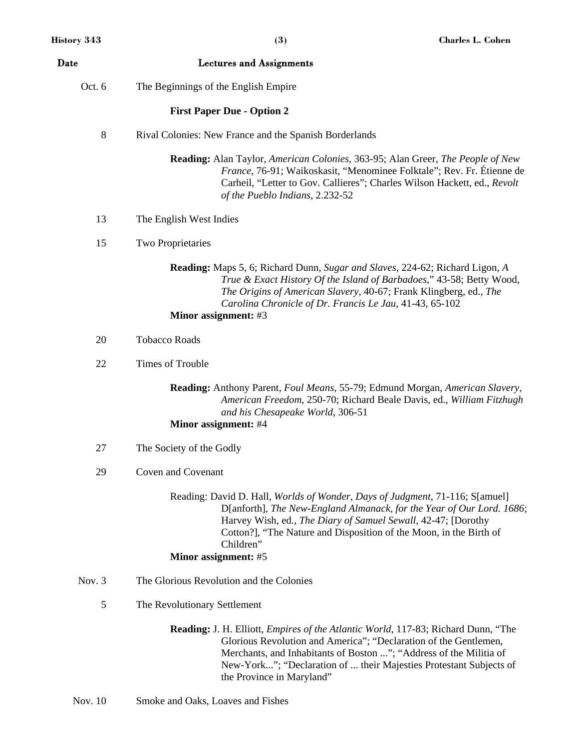| Date   | <b>Lectures and Assignments</b>                                                                                                                                                                                                                                                                                                           |
|--------|-------------------------------------------------------------------------------------------------------------------------------------------------------------------------------------------------------------------------------------------------------------------------------------------------------------------------------------------|
| Oct. 6 | The Beginnings of the English Empire                                                                                                                                                                                                                                                                                                      |
|        | <b>First Paper Due - Option 2</b>                                                                                                                                                                                                                                                                                                         |
| 8      | Rival Colonies: New France and the Spanish Borderlands                                                                                                                                                                                                                                                                                    |
|        | Reading: Alan Taylor, American Colonies, 363-95; Alan Greer, The People of New<br>France, 76-91; Waikoskasit, "Menominee Folktale"; Rev. Fr. Étienne de<br>Carheil, "Letter to Gov. Callieres"; Charles Wilson Hackett, ed., Revolt<br>of the Pueblo Indians, 2.232-52                                                                    |
| 13     | The English West Indies                                                                                                                                                                                                                                                                                                                   |
| 15     | <b>Two Proprietaries</b>                                                                                                                                                                                                                                                                                                                  |
|        | Reading: Maps 5, 6; Richard Dunn, Sugar and Slaves, 224-62; Richard Ligon, A<br>True & Exact History Of the Island of Barbadoes," 43-58; Betty Wood,<br>The Origins of American Slavery, 40-67; Frank Klingberg, ed., The<br>Carolina Chronicle of Dr. Francis Le Jau, 41-43, 65-102<br>Minor assignment: #3                              |
| 20     | <b>Tobacco Roads</b>                                                                                                                                                                                                                                                                                                                      |
| 22     | Times of Trouble                                                                                                                                                                                                                                                                                                                          |
|        | Reading: Anthony Parent, Foul Means, 55-79; Edmund Morgan, American Slavery,<br>American Freedom, 250-70; Richard Beale Davis, ed., William Fitzhugh<br>and his Chesapeake World, 306-51                                                                                                                                                  |
|        | Minor assignment: #4                                                                                                                                                                                                                                                                                                                      |
| 27     | The Society of the Godly                                                                                                                                                                                                                                                                                                                  |
| 29     | Coven and Covenant                                                                                                                                                                                                                                                                                                                        |
|        | Reading: David D. Hall, <i>Worlds of Wonder, Days of Judgment</i> , 71-116; S[amuel]<br>D[anforth], The New-England Almanack, for the Year of Our Lord. 1686;<br>Harvey Wish, ed., The Diary of Samuel Sewall, 42-47; [Dorothy<br>Cotton?], "The Nature and Disposition of the Moon, in the Birth of<br>Children"<br>Minor assignment: #5 |
| Nov. 3 | The Glorious Revolution and the Colonies                                                                                                                                                                                                                                                                                                  |
| 5      | The Revolutionary Settlement                                                                                                                                                                                                                                                                                                              |
|        |                                                                                                                                                                                                                                                                                                                                           |
|        | <b>Reading:</b> J. H. Elliott, <i>Empires of the Atlantic World</i> , 117-83; Richard Dunn, "The<br>Glorious Revolution and America"; "Declaration of the Gentlemen,<br>Merchants, and Inhabitants of Boston "; "Address of the Militia of<br>New-York"; "Declaration of  their Majesties Protestant Subjects of                          |

the Province in Maryland"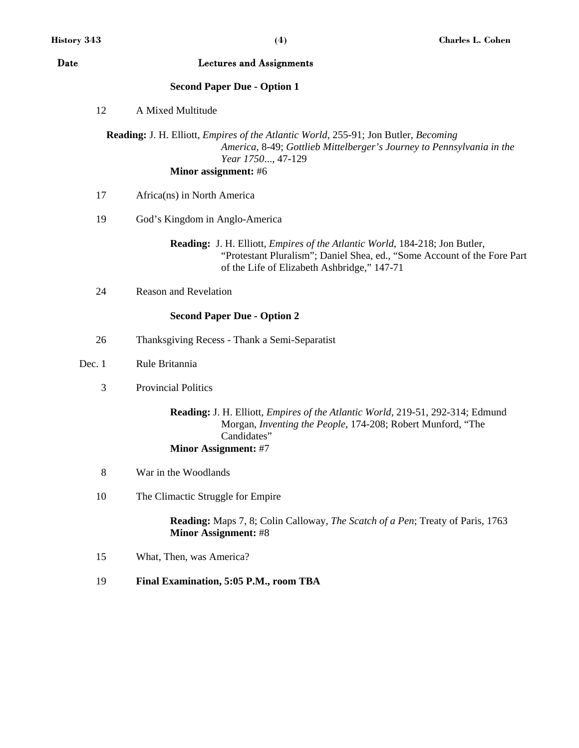| Date   | <b>Lectures and Assignments</b>                                                                                                                                                                                                 |
|--------|---------------------------------------------------------------------------------------------------------------------------------------------------------------------------------------------------------------------------------|
|        | <b>Second Paper Due - Option 1</b>                                                                                                                                                                                              |
| 12     | A Mixed Multitude                                                                                                                                                                                                               |
|        | <b>Reading:</b> J. H. Elliott, <i>Empires of the Atlantic World</i> , 255-91; Jon Butler, <i>Becoming</i><br>America, 8-49; Gottlieb Mittelberger's Journey to Pennsylvania in the<br>Year 1750, 47-129<br>Minor assignment: #6 |
| 17     | Africa(ns) in North America                                                                                                                                                                                                     |
| 19     | God's Kingdom in Anglo-America                                                                                                                                                                                                  |
|        | Reading: J. H. Elliott, <i>Empires of the Atlantic World</i> , 184-218; Jon Butler,<br>"Protestant Pluralism"; Daniel Shea, ed., "Some Account of the Fore Part<br>of the Life of Elizabeth Ashbridge," 147-71                  |
| 24     | <b>Reason and Revelation</b>                                                                                                                                                                                                    |
|        | <b>Second Paper Due - Option 2</b>                                                                                                                                                                                              |
| 26     | Thanksgiving Recess - Thank a Semi-Separatist                                                                                                                                                                                   |
| Dec. 1 | Rule Britannia                                                                                                                                                                                                                  |
| 3      | <b>Provincial Politics</b>                                                                                                                                                                                                      |
|        | Reading: J. H. Elliott, <i>Empires of the Atlantic World</i> , 219-51, 292-314; Edmund<br>Morgan, Inventing the People, 174-208; Robert Munford, "The<br>Candidates"<br><b>Minor Assignment: #7</b>                             |
| 8      | War in the Woodlands                                                                                                                                                                                                            |
| 10     | The Climactic Struggle for Empire                                                                                                                                                                                               |
|        | <b>Reading:</b> Maps 7, 8; Colin Calloway, <i>The Scatch of a Pen</i> ; Treaty of Paris, 1763<br><b>Minor Assignment: #8</b>                                                                                                    |
| 15     | What, Then, was America?                                                                                                                                                                                                        |
| 19     | Final Examination, 5:05 P.M., room TBA                                                                                                                                                                                          |
|        |                                                                                                                                                                                                                                 |
|        |                                                                                                                                                                                                                                 |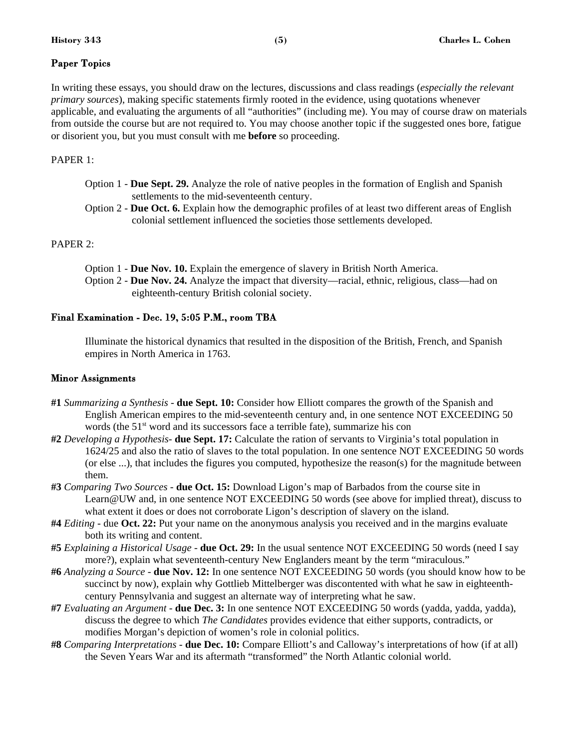#### Paper Topics

In writing these essays, you should draw on the lectures, discussions and class readings (*especially the relevant primary sources*), making specific statements firmly rooted in the evidence, using quotations whenever applicable, and evaluating the arguments of all "authorities" (including me). You may of course draw on materials from outside the course but are not required to. You may choose another topic if the suggested ones bore, fatigue or disorient you, but you must consult with me **before** so proceeding.

#### PAPER 1:

- Option 1 **Due Sept. 29.** Analyze the role of native peoples in the formation of English and Spanish settlements to the mid-seventeenth century.
- Option 2 **Due Oct. 6.** Explain how the demographic profiles of at least two different areas of English colonial settlement influenced the societies those settlements developed.

#### PAPER 2:

Option 1 - **Due Nov. 10.** Explain the emergence of slavery in British North America. Option 2 - **Due Nov. 24.** Analyze the impact that diversity—racial, ethnic, religious, class—had on eighteenth-century British colonial society.

#### Final Examination - Dec. 19, 5:05 P.M., room TBA

Illuminate the historical dynamics that resulted in the disposition of the British, French, and Spanish empires in North America in 1763.

#### Minor Assignments

- **#1** *Summarizing a Synthesis* - **due Sept. 10:** Consider how Elliott compares the growth of the Spanish and English American empires to the mid-seventeenth century and, in one sentence NOT EXCEEDING 50 words (the  $51<sup>st</sup>$  word and its successors face a terrible fate), summarize his con
- **#2** *Developing a Hypothesis* **due Sept. 17:** Calculate the ration of servants to Virginia's total population in 1624/25 and also the ratio of slaves to the total population. In one sentence NOT EXCEEDING 50 words (or else ...), that includes the figures you computed, hypothesize the reason(s) for the magnitude between them.
- **#3** *Comparing Two Sources* **due Oct. 15:** Download Ligon's map of Barbados from the course site in Learn@UW and, in one sentence NOT EXCEEDING 50 words (see above for implied threat), discuss to what extent it does or does not corroborate Ligon's description of slavery on the island.
- **#4** *Editing* due **Oct. 22:** Put your name on the anonymous analysis you received and in the margins evaluate both its writing and content.
- **#5** *Explaining a Historical Usage -* **due Oct. 29:** In the usual sentence NOT EXCEEDING 50 words (need I say more?), explain what seventeenth-century New Englanders meant by the term "miraculous."
- **#6** *Analyzing a Source*  **due Nov. 12:** In one sentence NOT EXCEEDING 50 words (you should know how to be succinct by now), explain why Gottlieb Mittelberger was discontented with what he saw in eighteenthcentury Pennsylvania and suggest an alternate way of interpreting what he saw.
- **#7** *Evaluating an Argument* **due Dec. 3:** In one sentence NOT EXCEEDING 50 words (yadda, yadda, yadda), discuss the degree to which *The Candidates* provides evidence that either supports, contradicts, or modifies Morgan's depiction of women's role in colonial politics.
- **#8** *Comparing Interpretations* **due Dec. 10:** Compare Elliott's and Calloway's interpretations of how (if at all) the Seven Years War and its aftermath "transformed" the North Atlantic colonial world.